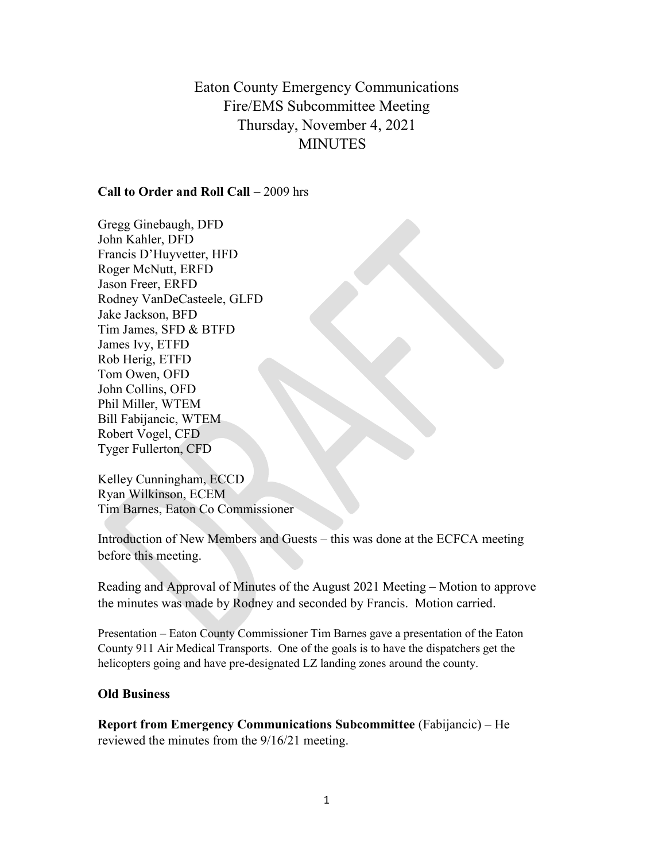Eaton County Emergency Communications Fire/EMS Subcommittee Meeting Thursday, November 4, 2021 **MINUTES** 

## Call to Order and Roll Call – 2009 hrs

Gregg Ginebaugh, DFD John Kahler, DFD Francis D'Huyvetter, HFD Roger McNutt, ERFD Jason Freer, ERFD Rodney VanDeCasteele, GLFD Jake Jackson, BFD Tim James, SFD & BTFD James Ivy, ETFD Rob Herig, ETFD Tom Owen, OFD John Collins, OFD Phil Miller, WTEM Bill Fabijancic, WTEM Robert Vogel, CFD Tyger Fullerton, CFD

Kelley Cunningham, ECCD Ryan Wilkinson, ECEM Tim Barnes, Eaton Co Commissioner

Introduction of New Members and Guests – this was done at the ECFCA meeting before this meeting.

Reading and Approval of Minutes of the August 2021 Meeting – Motion to approve the minutes was made by Rodney and seconded by Francis. Motion carried.

Presentation – Eaton County Commissioner Tim Barnes gave a presentation of the Eaton County 911 Air Medical Transports. One of the goals is to have the dispatchers get the helicopters going and have pre-designated LZ landing zones around the county.

## Old Business

Report from Emergency Communications Subcommittee (Fabijancic) – He reviewed the minutes from the 9/16/21 meeting.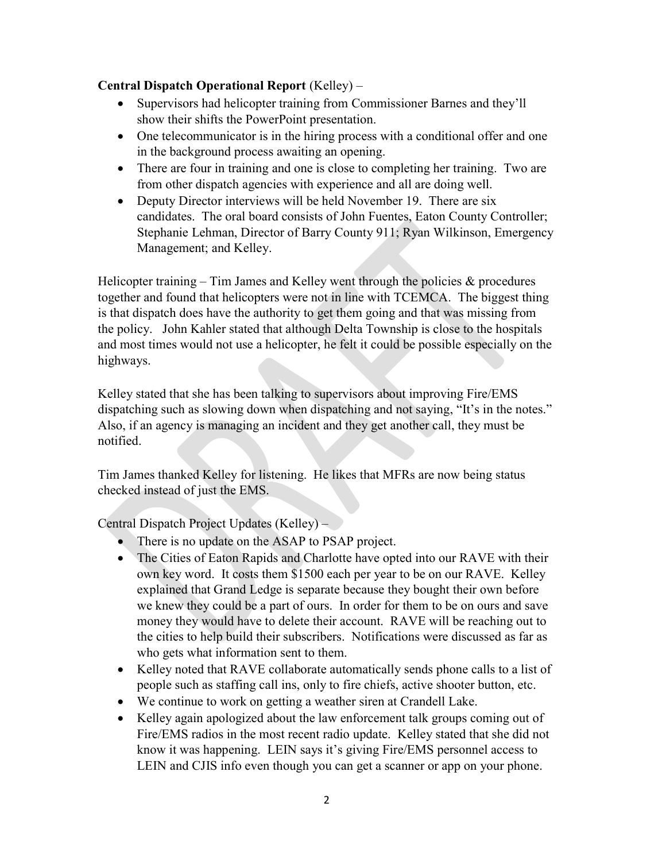## Central Dispatch Operational Report (Kelley) –

- Supervisors had helicopter training from Commissioner Barnes and they'll show their shifts the PowerPoint presentation.
- One telecommunicator is in the hiring process with a conditional offer and one in the background process awaiting an opening.
- There are four in training and one is close to completing her training. Two are from other dispatch agencies with experience and all are doing well.
- Deputy Director interviews will be held November 19. There are six candidates. The oral board consists of John Fuentes, Eaton County Controller; Stephanie Lehman, Director of Barry County 911; Ryan Wilkinson, Emergency Management; and Kelley.

Helicopter training – Tim James and Kelley went through the policies  $\&$  procedures together and found that helicopters were not in line with TCEMCA. The biggest thing is that dispatch does have the authority to get them going and that was missing from the policy. John Kahler stated that although Delta Township is close to the hospitals and most times would not use a helicopter, he felt it could be possible especially on the highways.

Kelley stated that she has been talking to supervisors about improving Fire/EMS dispatching such as slowing down when dispatching and not saying, "It's in the notes." Also, if an agency is managing an incident and they get another call, they must be notified.

Tim James thanked Kelley for listening. He likes that MFRs are now being status checked instead of just the EMS.

Central Dispatch Project Updates (Kelley) –

- There is no update on the ASAP to PSAP project.
- The Cities of Eaton Rapids and Charlotte have opted into our RAVE with their own key word. It costs them \$1500 each per year to be on our RAVE. Kelley explained that Grand Ledge is separate because they bought their own before we knew they could be a part of ours. In order for them to be on ours and save money they would have to delete their account. RAVE will be reaching out to the cities to help build their subscribers. Notifications were discussed as far as who gets what information sent to them.
- Kelley noted that RAVE collaborate automatically sends phone calls to a list of people such as staffing call ins, only to fire chiefs, active shooter button, etc.
- We continue to work on getting a weather siren at Crandell Lake.
- Kelley again apologized about the law enforcement talk groups coming out of Fire/EMS radios in the most recent radio update. Kelley stated that she did not know it was happening. LEIN says it's giving Fire/EMS personnel access to LEIN and CJIS info even though you can get a scanner or app on your phone.